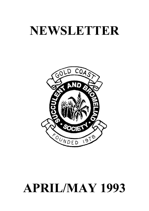# **NEWSLETTER**



# **APRIL/MAY 1993**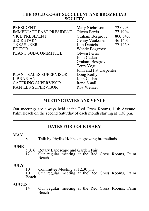#### **THE GOLD COAST SUCCULENT AND BROMELIAD SOCIETY**

| <b>PRESIDENT</b><br><b>IMMEDIATE PAST PRESIDENT</b><br><b>VICE PRESIDENT</b><br><b>SECRETARY</b><br><b>TREASURER</b><br><b>EDITOR</b><br>PLANT SUB-COMMITTEE | Mary Nicholson<br>Olwen Ferris<br>Graham Besgrove<br>Genny Vaukonen<br><b>Jum Daniels</b><br><b>Wendy Besgrove</b><br>Olwen Ferris<br>John Catlan<br>Graham Besgrove<br>Terry Vogt<br>John and Pat Carpenter | 72 0993<br>77 1904<br>800 5431<br>46 1401<br>77 1469 |  |
|--------------------------------------------------------------------------------------------------------------------------------------------------------------|--------------------------------------------------------------------------------------------------------------------------------------------------------------------------------------------------------------|------------------------------------------------------|--|
| PLANT SALES SUPERVISOR<br><b>LIBRARIAN</b><br><b>CATERING SUPERVISOR</b><br><b>RAFFLES SUPERVISOR</b>                                                        | Doug Reilly<br>John Catlan<br>Irene Small<br>Roy Wenzel                                                                                                                                                      |                                                      |  |

# **MEETING DATES AND VENUE**

Our meetings are always held at the Red Cross Rooms, 11th Avenue, Palm Beach on the second Saturday of each month starting at 1.30 pm.

# **DATES FOR YOUR DIARY**

#### **MAY**

8 Talk by Phyllis Hobbs on growing bromeliads

#### **JUNE**

- 5 & 6 Rotary Landscape and Garden Fair<br>12 Our regular meeting at the Red
	- 12 Our regular meeting at the Red Cross Rooms, Palm Beach

#### **JULY**

- 10 Committee Meeting at 12.30 pm<br>10 Our regular meeting at the Re
- 10 Our regular meeting at the Red Cross Rooms, Palm Beach

# **AUGUST**

14 Our regular meeting at the Red Cross Rooms, Palm Beach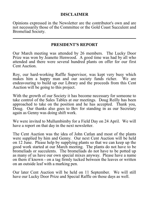# **DISCLAIMER**

Opinions expressed in the Newsletter are the contributor's own and are not necessarily those of the Committee or the Gold Coast Succulent and Bromeliad Society.

# **PRESIDENT'S REPORT**

Our March meeting was attended by 26 members. The Lucky Door Prize was won by Jeanette Henwood. A good time was had by all who attended and there were several hundred plants on offer for our first Cent Auction.

Roy, our hard-working Raffle Supervisor, was kept very busy which makes him a happy man and our society funds richer. We are endeavouring to build up our Library and the proceeds from this Cent Auction will be going to this project.

With the growth of our Society it has become necessary for someone to take control of the Sales Tables at our meetings. Doug Reilly has been approached to take on the position and he has accepted. Thank you, Doug. Our thanks also goes to Bey for standing in as our Secretary again as Genny was doing shift work.

We were invited to Mullumbimby for a Field Day on 24 April. We will have a report on that day in the next newsletter.

The Cent Auction was the idea of John Catlan and most of the plants were supplied by him and Genny. Our next Cent Auction will be held on 12 June. Please help by supplying plants so that we can keep up the good work started at our March meeting. The plants do not have to be bromeliads or succulents. The bromeliads do not have to be potted up as many of us have our own special mixes anyway. Please have a name on them if known - on a tag firmly tucked between the leaves or written on an outside leaf with a marking pen.

Our later Cent Auction will be held on 11 September. We will still have our Lucky Door Prize and Special Raffle on those days as well.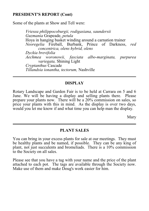# **PRESIDENT'S REPORT (Cont)**

Some of the plants at Show and Tell were:

*Vriesea philippocoburgii, rodigasiana, saundersii Guzmania* Grapeade, *petula* Hoya in hanging basket winding around a carnation trainer *Neoregelia* Fireball, Burbank, Prince of Darkness, *red concentrica, olens hybrid, olens Dyckia brevifolia Aechmea woronowii, fasciata albo-marginata, purpurea variegata,* Shining Light *Cryptanthus* Cascade *Tillandsia ionantha, tectorum,* Nashville

# **DISPLAY**

Rotary Landscape and Garden Fair is to be held at Carrara on 5 and 6 June. We will be having a display and selling plants there. Please prepare your plants now. There will be a 20% commission on sales, so price your plants with this in mind. As the display is over two days, would you let me know if and what time you can help man the display.

Mary

# **PLANT SALES**

You can bring in your excess plants for sale at our meetings. They must be healthy plants and be named, if possible. They can be any king of plant, not just succulents and bromeliads. There is a 10% commission to the Society on all sales.

Please see that you have a tag with your name and the price of the plant attached to each pot. The tags are available through the Society now. Make use of them and make Doug's work easier for him.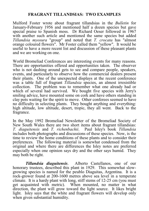# **FRAGRANT TILLANDSIAS: TWO EXAMPLES**

Mulford Foster wrote about fragrant tillandsias in the *Bulletin* for January-February 1956 and mentioned half a dozen species but gave special praise to Spanish moss. Dr Richard Oeser followed in 1967 with another such article and mentioned the same species but added *Tillandsia myosura* "group" and noted that *T. crocata* has "almost orange coloured flowers". Mr Foster called them "yellow". It would be useful to have a more recent list and discussion of these pleasant plants and we are working on one.

World Bromeliad Conferences are interesting events for many reasons. There are opportunities offered and opportunities taken. The observer who is not dashing around gets to see and compare people, speakers, events, and particularly to observe how the commercial dealers present their plants. One of the unexpected displays at the recent conference was a table full of fragrant *Tillandsia* species, an almost irresistible collection. The problem was to remember what one already had or which of several had survived. We bought five species with Jerry's smiling advice, have mounted some on cork and have others standing in clay pots waiting for the spirit to move. Other conferees seemed to have no difficulty in selecting plants. They bought anything and everything: high altitude, low altitude, desert, tropic, they all went. Back to the fragrance.

In the May 1992 Bromeliad Newsletter of the Bromeliad Society of New South Wales there are two short items about fragrant tillandsias: *T. diaguitensis* and *T. richenbachii*. Paul Isley's book *Tillandsia* includes both photographs and discussions of these species. Now, is the time to review the home conditions of these plants and to consider their preferences. The following material is somewhat condensed from the original and where there are differences the Isley notes are preferred especially when one opinion says dry and the other says humid. They may both be right.

*Tillandsia diaguitensis*. Alberto Castellanos, one of our honorary trustees, described this plant in 1929. This somewhat slowgrowing species is named for the peublo Diaguitas, Argentina. It is a rock-grower found at 200-1600 metres above sea level in a temperate climate. It is a hardy plant with long, stiff stems of 12-25 cm (you must get acquainted with metric). When mounted, no matter in what direction, the plant will grow toward the light source. It likes bright light. Isley says that the white and fragrant flowers will develop only when given substantial humidity.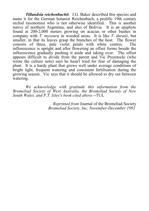*Tillandsia reichenbachii*. J.G. Baker described this species and name it for the German botanist Reichenbach, a prolific 19th century orchid taxonomist who is not otherwise identified. This is another native of northern Argentina, and also of Bolivia. It is an epiphyte found at 200-2,000 meters growing on acacias or other bushes in company with *T. myosura* in wooded areas. It is like *T. duratii*, but smaller, in that its leaves grasp the branches of the host. The flower consists of three, pale violet petals with white centres. The inflorescence is upright and after flowering an offset forms beside the inflorescence gradually pushing it aside and taking over. The offset appears difficult to divide from the parent and Vic Prezetocki (who wrote the culture note) says he hasn't tried for fear of damaging the plant. It is a hardy plant that grows well under average conditions of bright light, frequent watering and consistent fertilisation during the growing season. Vic says that it should be allowed to dry out between watering.

*We acknowledge with gratitude this information from the Bromeliad Society of West Australia, the Bromeliad Society of New South Wales, and P.T. Isley's book cited above.*--TUL

> *Reprinted from* Journal of the Bromeliad Society *Bromeliad Society, Inc, November-December 1992*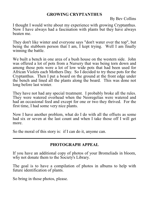# **GROWING CRYPTANTHUS**

By Bev Collins

I thought I would write about my experience with growing Cryptanthus. Now I have always had a fascination with plants but they have always beaten me.

They don't like winter and everyone says "don't water over the top", but being the stubborn person that I am, I kept trying. Well I am finally winning the battle.

We built a bench in one area of a bush house on the western side. John was offered a lot of pots from a Nursery that was being torn down and among those pots were a lot of low wide pots that had been used for African Violets each Mothers Day. So I decided to try these pots for the Cryptanthus. Then I put a board on the ground at the front edge under the bench and lined all the plants along the board. This was done not long before last winter.

They have not had any special treatment. I probably broke all the rules. They were watered overhead when the Neoregelias were watered and had an occasional feed and except for one or two they thrived. For the first time, I had some very nice plants.

Now I have another problem, what do I do with all the offsets as some had six or seven at the last count and when I take those off I will get more.

So the moral of this story is: if I can do it, anyone can.

# **PHOTOGRAPH APPEAL**

If you have an additional copy of photos of your Bromeliads in bloom, why not donate them to the Society's Library.

The goal is to have a compilation of photos in albums to help with future identification of plants.

So bring in those photos, please.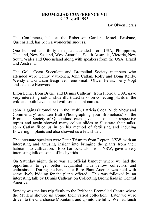# **BROMELIAD CONFERENCE VII 9-12 April 1993**

By Olwen Ferris

The Conference, held at the Robertson Gardens Motel, Brisbane, Queensland, has been a wonderful success.

One hundred and thirty delegates attended from USA, Philippines, Thailand, New Zealand, West Australia, South Australia, Victoria, New South Wales and Queensland along with speakers from the USA, Brazil and Australia.

The Gold Coast Succulent and Bromeliad Society members who attended were Genny Vaukonen, John Catlan, Rolly and Doug Reilly, Wendy and Graham Besgrove, Irene Small, Olwen Ferris, Terry Vogt and Jeanette Henwood.

Elton Leme, from Brazil, and Dennis Cathcart, from Florida, USA, gave very interesting colour slide illustrated talks on collecting plants in the wild and both have helped with some plant names.

John Higgins (Bromeliads in the Bush), Patricia Odea (Slide Show and Commentary) and Len Butt (Photographing your Bromeliads) of the Bromeliad Society of Queensland each gave talks on their respective topics and again showed many colour slides to illustrate their talks. John Catlan filled us in on his method of fertilising and inducing flowering in plants and also showed us a few slides.

The interstate speakers were Peter Tristram from Repton, NSW, with an interesting and amusing insight into bringing the plants from their habitat into cultivation. Bob Larnock, also from NSW, gave a very interesting talk on some of his hybrids.

On Saturday night, there was an official banquet where we had the opportunity to get better acquainted with fellow collectors and enthusiasts. During the banquet, a Rare Plant Auction was held with some lively bidding for the plants offered. This was followed by an interesting talk by Dennis Cathcart on Collecting Bromeliads in Central America.

Sunday was the bus trip firstly to the Brisbane Bromeliad Centre where the Mullers showed us around their varied collection. Later we were driven to the Glasshouse Mountains and up into the hills. We had lunch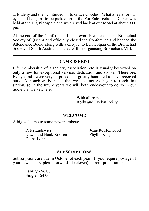at Maleny and then continued on to Grace Goodes. What a feast for our eyes and bargains to be picked up in the For Sale section. Dinner was held at the Big Pineapple and we arrived back at our Motel at about 9.00 pm.

At the end of the Conference, Len Trevor, President of the Bromeliad Society of Queensland officially closed the Conference and handed the Attendance Book, along with a cheque, to Len Colgan of the Bromeliad Society of South Australia as they will be organising Bromeliads VIII.

## **!! AMBUSHED !!**

Life membership of a society, association, etc is usually bestowed on only a few for exceptional service, dedication and so on. Therefore, Evelyn and I were very surprised and greatly honoured to have received ours. Although we both feel that we have not yet begun to reach that station, so in the future years we will both endeavour to do so in our Society and elsewhere.

> With all respect Rolly and Evelyn Reilly

#### **WELCOME**

A big welcome to some new members:

Peter Ludswici **Jeanette Henwood**<br>
Dawn and Hank Roosen Phyllis King Dawn and Hank Roosen Diana Lobb

# **SUBSCRIPTIONS**

Subscriptions are due in October of each year. If you require postage of your newsletters, please forward 11 (eleven) current-price stamps.

> Family - \$6.00 Single - \$4.00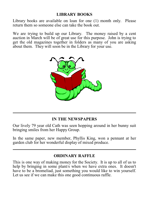# **LIBRARY BOOKS**

Library books are available on loan for one (1) month only. Please return them so someone else can take the book out.

We are trying to build up our Library. The money raised by a cent auction in March will be of great use for this purpose. John is trying to get the old magazines together in folders as many of you are asking about them. They will soon be in the Library for your use.



# **IN THE NEWSPAPERS**

Our lively 79 year old Cath was seen hopping around in her bunny suit bringing smiles from her Happy Group.

In the same paper, new member, Phyllis King, won a pennant at her garden club for her wonderful display of mixed produce.

# **ORDINARY RAFFLE**

This is one way of making money for the Society. It is up to all of us to help by bringing in some plant/s when we have extra ones. It doesn't have to be a bromeliad, just something you would like to win yourself. Let us see if we can make this one good continuous raffle.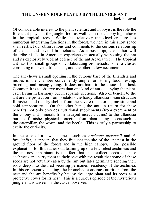# **THE UNSEEN ROLE PLAYED BY THE JUNGLE ANT** Jack Percival

Of considerable interest to the plant scientist and hobbyist is the role the forest ant plays on the jungle floor as well as in the canopy high above in the tropical trees. While this relatively unnoticed creature has numerous interesting functions in the forest, we here in this short space shall restrict our observations and comments to the curious relationship of the ant and several bromeliads. As a postscript, the author will describe his Latin American experience in actually witnessing the ant and its explosively violent defence of the ant Acacia tree. The tropical ant has two small groups of collaborating bromeliads: one, a cluster consisting of several tillandsias, and the other, a few aechmeas.

The ant chews a small opening in the bulbous base of the tillandsia and moves in the chamber conveniently ample for storing food, resting, breeding, and raising young. It does not harm to the tissue of its host. Common it is to observe more than one kind of ant occupying the plant, each living in harmony but in separate sections. Also of benefit to the ant are the protection from predators the hardy tillandsia tissue structure furnishes, and the dry shelter from the severe rain storms, moisture and cold temperatures. On the other hand, the ant, in return for these benefits, not only provides nutritional supplements (from excrement of the colony and minerals from decayed insect victims) to the tillandsia but also furnishes physical protection from plant-eating insects such as the caterpillar, the worm, and the beetle. This is truly a partnership to excite the curiosity.

In the case of a few aechmeas such as *Aechmea mertensii* and *A. brevicollis*, it appears that they frequent the site of the ant nest in the ground floor of the forest and in the high canopy. One possible explanation for this rather odd teaming-up of a few select aechmeas and the ant-nest inhabitant is the fact that ants collect seeds of these aechmeas and carry them to their nest with the result that some of these seeds are not actually eaten by the ant but later germinate sending their roots deep into the nest securing permanent residency of the aechmea. In this co-operative setting, the bromeliad consumes nutrition from the nest and the ant benefits by having the large plant and its roots as a protective cover for its nest. This is a curious episode of the mysterious jungle and is unseen by the casual observer.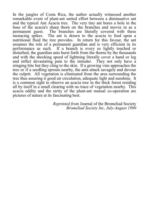In the jungles of Costa Rica, the author actually witnessed another remarkable event of plant-ant united effort between a diminuative ant and the typical Ant Acacia tree. The very tiny ant bores a hole in the base of the acacia's sharp thorn on the branches and moves in as a permanent guest. The branches are literally covered with these menacing spikes. The ant is drawn to the acacia to feed upon a nutritional fluid the tree provides. In return for this favour, the ant assumes the role of a permanent guardian and is very efficient in its performance as such. If a branch is every so lightly touched or disturbed, the guardian ants burst forth from the thorns by the thousands and with the shocking speed of lightning literally cover a hand or leg and inflict devastating pain to the intruder. They not only have a stinging bite but they cling to the skin. If a growing vine approaches the tree or if a seedling sprouts nearby, the ants attack savagely and devour the culprit. All vegetation is eliminated from the area surrounding the tree thus assuring it good air circulation, adequate light and sunshine. It is a common sight to observe an acacia tree in the thick forest residing all by itself in a small clearing with no trace of vegetation nearby. This acacia oddity and the rarity of the plant-ant mutual co-operation are pictures of nature at its fascinating best.

> *Reprinted from* Journal of the Bromeliad Society *Bromeliad Society Inc, July-August 1990*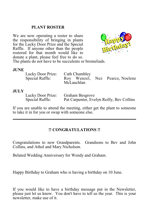# **PLANT ROSTER**

We are now operating a roster to share the responsibility of bringing in plants for the Lucky Door Prize and the Special Raffle. If anyone other than the people rostered for that month would like to donate a plant, please feel free to do so.



The plants do not have to be succulents or bromeliads.

#### **JUNE**

| Lucky Door Prize: | Cath Chumbley |                                 |
|-------------------|---------------|---------------------------------|
| Special Raffle:   | McLauchlan    | Roy Wenzel, Nez Pearce, Noelene |

## **JULY**

Lucky Door Prize: Graham Besgrove<br>Special Raffle: Pat Carpenter, Eve Pat Carpenter, Evelyn Reilly, Bev Collins

If you are unable to attend the meeting, either get the plant to someone to take it in for you or swap with someone else.

# **!! CONGRATULATIONS !!**

Congratulations to new Grandparents. Grandsons to Bev and John Collins, and Athol and Mary Nicholson.

Belated Wedding Anniversary for Wendy and Graham.

Happy Birthday to Graham who is having a birthday on 10 June.

If you would like to have a birthday message put in the Newsletter, please just let us know. You don't have to tell us the year. This is your newsletter, make use of it.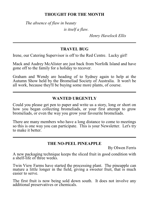# **THOUGHT FOR THE MONTH**

*The absence of flaw in beauty*

*is itself a flaw.*

*Henry Havelock Ellis*

# **TRAVEL BUG**

Irene, our Catering Supervisor is off to the Red Centre. Lucky girl!

Mack and Audrey McAlister are just back from Norfolk Island and have gone off to the family for a holiday to recover.

Graham and Wendy are heading of to Sydney again to help at the Autumn Show held by the Bromeliad Society of Australia. It won't be all work, because they'll be buying some more plants, of course.

# **WANTED URGENTLY**

Could you please get pen to paper and write us a story, long or short on how you began collecting bromeliads, or your first attempt to grow bromeliads, or even the way you grow your favourite bromeliads.

There are many members who have a long distance to come to meetings so this is one way you can participate. This is your Newsletter. Let's try to make it better.

# **THE NO-PEEL PINEAPPLE**

By Olwen Ferris

A new packaging technique keeps the sliced fruit in good condition with a shelf-life of three weeks.

Twin View Farms have started the processing plant. The pineapple can mature a little longer in the field, giving a sweeter fruit, that is much easier to serve.

The first fruit is now being sold down south. It does not involve any additional preservatives or chemicals.